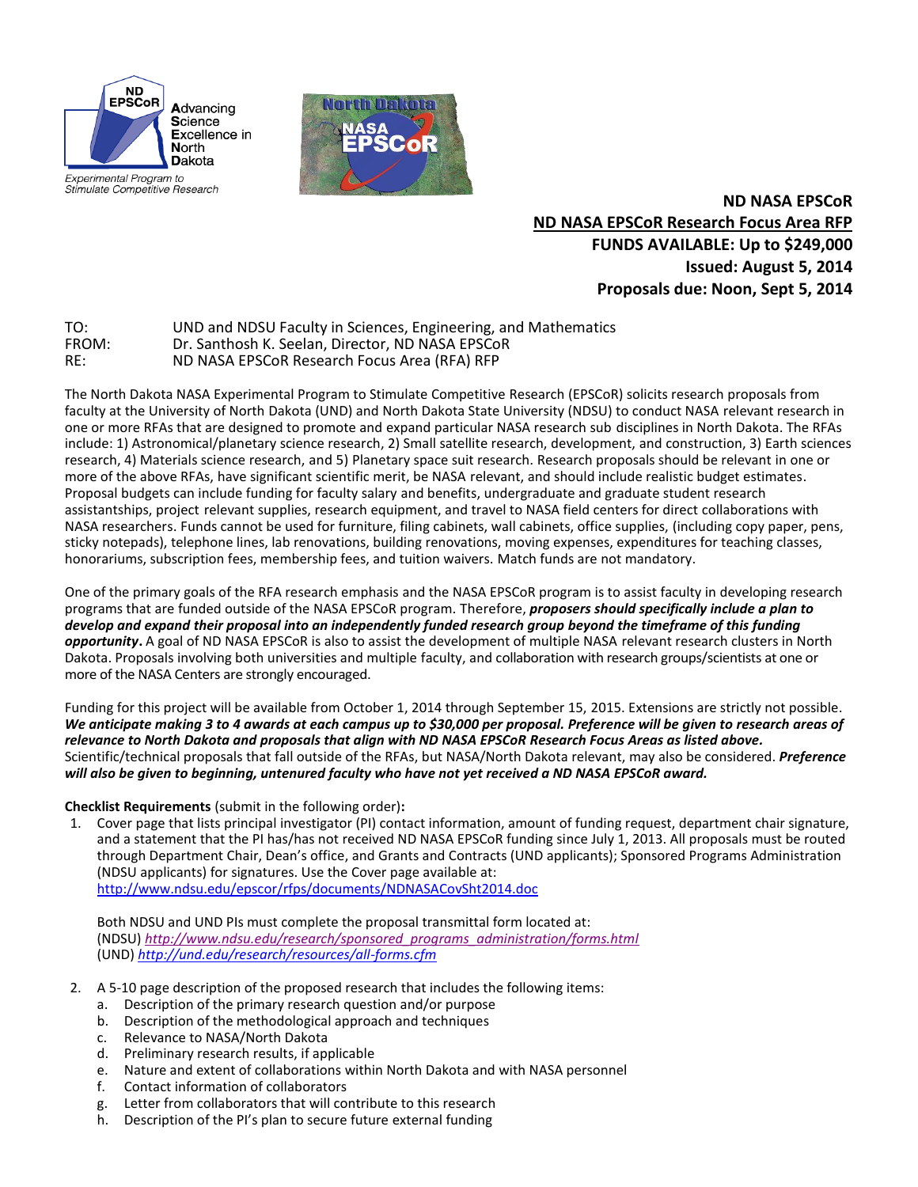

Experimental Program to Stimulate Competitive Research



**ND NASA EPSCoR ND NASA EPSCoR Research Focus Area RFP FUNDS AVAILABLE: Up to \$249,000 Issued: August 5, 2014 Proposals due: Noon, Sept 5, 2014**

| TO:   | UND and NDSU Faculty in Sciences, Engineering, and Mathematics |
|-------|----------------------------------------------------------------|
| FROM: | Dr. Santhosh K. Seelan. Director. ND NASA EPSCoR               |
| RE:   | ND NASA EPSCoR Research Focus Area (RFA) RFP                   |

The North Dakota NASA Experimental Program to Stimulate Competitive Research (EPSCoR) solicits research proposals from faculty at the University of North Dakota (UND) and North Dakota State University (NDSU) to conduct NASA relevant research in one or more RFAs that are designed to promote and expand particular NASA research sub disciplines in North Dakota. The RFAs include: 1) Astronomical/planetary science research, 2) Small satellite research, development, and construction, 3) Earth sciences research, 4) Materials science research, and 5) Planetary space suit research. Research proposals should be relevant in one or more of the above RFAs, have significant scientific merit, be NASA relevant, and should include realistic budget estimates. Proposal budgets can include funding for faculty salary and benefits, undergraduate and graduate student research assistantships, project relevant supplies, research equipment, and travel to NASA field centers for direct collaborations with NASA researchers. Funds cannot be used for furniture, filing cabinets, wall cabinets, office supplies, (including copy paper, pens, sticky notepads), telephone lines, lab renovations, building renovations, moving expenses, expenditures for teaching classes, honorariums, subscription fees, membership fees, and tuition waivers. Match funds are not mandatory.

One of the primary goals of the RFA research emphasis and the NASA EPSCoR program is to assist faculty in developing research programs that are funded outside of the NASA EPSCoR program. Therefore, *proposers should specifically include a plan to develop and expand their proposal into an independently funded research group beyond the timeframe of this funding opportunity***.** A goal of ND NASA EPSCoR is also to assist the development of multiple NASA relevant research clusters in North Dakota. Proposals involving both universities and multiple faculty, and collaboration with research groups/scientists at one or more of the NASA Centers are strongly encouraged.

Funding for this project will be available from October 1, 2014 through September 15, 2015. Extensions are strictly not possible. *We anticipate making 3 to 4 awards at each campus up to \$30,000 per proposal. Preference will be given to research areas of relevance to North Dakota and proposals that align with ND NASA EPSCoR Research Focus Areas as listed above.* Scientific/technical proposals that fall outside of the RFAs, but NASA/North Dakota relevant, may also be considered. *Preference will also be given to beginning, untenured faculty who have not yet received a ND NASA EPSCoR award.*

**Checklist Requirements** (submit in the following order)**:**

1. Cover page that lists principal investigator (PI) contact information, amount of funding request, department chair signature, and a statement that the PI has/has not received ND NASA EPSCoR funding since July 1, 2013. All proposals must be routed through Department Chair, Dean's office, and Grants and Contracts (UND applicants); Sponsored Programs Administration (NDSU applicants) for signatures. Use the Cover page available at: <http://www.ndsu.edu/epscor/rfps/documents/NDNASACovSht2014.doc>

Both NDSU and UND PIs must complete the proposal transmittal form located at: (NDSU) *[http://www.ndsu.edu/research/sponsored\\_programs\\_administration/forms.html](http://www.ndsu.edu/research/sponsored_programs_administration/forms.html)* (UND) *<http://und.edu/research/resources/all-forms.cfm>*

- 2. A 5-10 page description of the proposed research that includes the following items:
	- a. Description of the primary research question and/or purpose
	- b. Description of the methodological approach and techniques
	- c. Relevance to NASA/North Dakota
	- d. Preliminary research results, if applicable
	- e. Nature and extent of collaborations within North Dakota and with NASA personnel
	- f. Contact information of collaborators
	- g. Letter from collaborators that will contribute to this research
	- h. Description of the PI's plan to secure future external funding